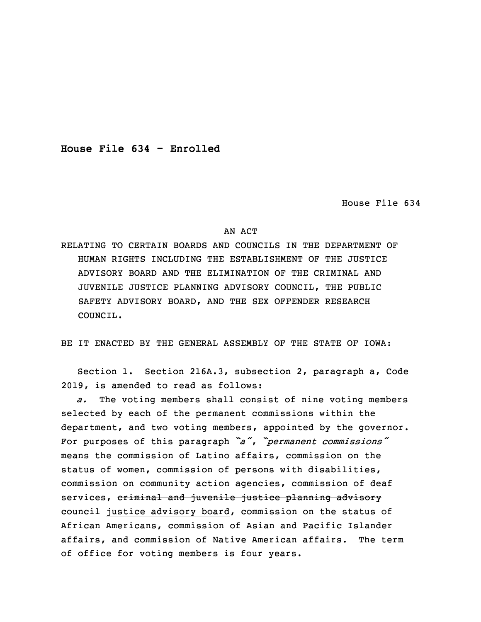**House File 634 - Enrolled**

House File 634

## AN ACT

RELATING TO CERTAIN BOARDS AND COUNCILS IN THE DEPARTMENT OF HUMAN RIGHTS INCLUDING THE ESTABLISHMENT OF THE JUSTICE ADVISORY BOARD AND THE ELIMINATION OF THE CRIMINAL AND JUVENILE JUSTICE PLANNING ADVISORY COUNCIL, THE PUBLIC SAFETY ADVISORY BOARD, AND THE SEX OFFENDER RESEARCH COUNCIL.

BE IT ENACTED BY THE GENERAL ASSEMBLY OF THE STATE OF IOWA:

 Section 1. Section 216A.3, subsection 2, paragraph a, Code 2019, is amended to read as follows:

a. The voting members shall consist of nine voting members selected by each of the permanent commissions within the department, and two voting members, appointed by the governor. <sup>6</sup> For purposes of this paragraph *"a"*, *"permanent commissions"* means the commission of Latino affairs, commission on the status of women, commission of persons with disabilities, commission on community action agencies, commission of deaf services, criminal and juvenile justice planning advisory council justice advisory board, commission on the status of African Americans, commission of Asian and Pacific Islander affairs, and commission of Native American affairs. The term of office for voting members is four years.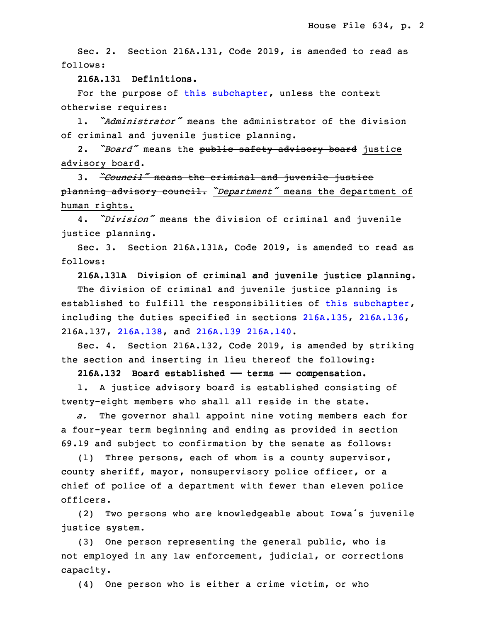Sec. 2. Section 216A.131, Code 2019, is amended to read as follows:

17 **216A.131 Definitions.**

For the purpose of this [subchapter](https://www.legis.iowa.gov/docs/code/2019/216A.pdf), unless the context otherwise requires:

1. *"Administrator"* means the administrator of the division of criminal and juvenile justice planning.

2. *"Board"* means the public safety advisory board justice advisory board.

 3. *"Council"* means the criminal and juvenile justice planning advisory council. "*Department"* means the department of human rights.

27 4. *"Division"* means the division of criminal and juvenile justice planning.

Sec. 3. Section 216A.131A, Code 2019, is amended to read as follows:

31 **216A.131A Division of criminal and juvenile justice planning.**

The division of criminal and juvenile justice planning is established to fulfill the responsibilities of this [subchapter](https://www.legis.iowa.gov/docs/code/2019/216A.pdf), including the duties specified in sections [216A.135](https://www.legis.iowa.gov/docs/code/2019/216A.135.pdf), [216A.136](https://www.legis.iowa.gov/docs/code/2019/216A.136.pdf), 216A.137, [216A.138](https://www.legis.iowa.gov/docs/code/2019/216A.138.pdf), and [216A.139](https://www.legis.iowa.gov/docs/code/2019/216A.139.pdf) [216A.140](https://www.legis.iowa.gov/docs/code/2019/216A.140.pdf).

 Sec. 4. Section 216A.132, Code 2019, is amended by striking the section and inserting in lieu thereof the following:

3 **216A.132 Board established —— terms —— compensation.**

 1. <sup>A</sup> justice advisory board is established consisting of twenty-eight members who shall all reside in the state.

a. The governor shall appoint nine voting members each for a four-year term beginning and ending as provided in section 8 69.19 and subject to confirmation by the senate as follows:

(1) Three persons, each of whom is a county supervisor, county sheriff, mayor, nonsupervisory police officer, or a chief of police of <sup>a</sup> department with fewer than eleven police officers.

<sup>13</sup> (2) Two persons who are knowledgeable about Iowa's juvenile justice system.

(3) One person representing the general public, who is not employed in any law enforcement, judicial, or corrections capacity.

18 (4) One person who is either <sup>a</sup> crime victim, or who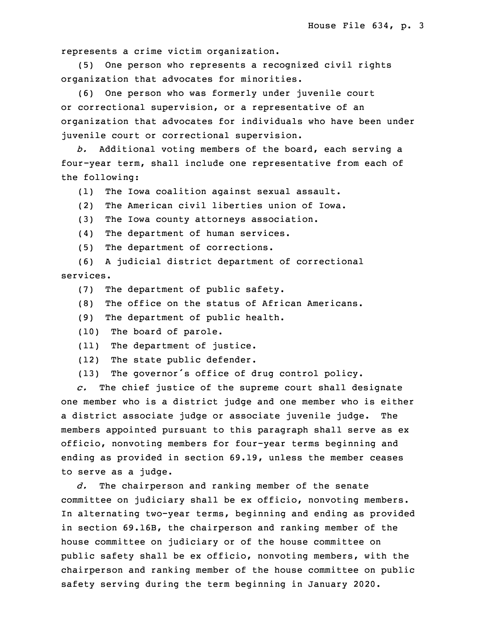represents a crime victim organization.

(5) One person who represents a recognized civil rights organization that advocates for minorities.

 (6) One person who was formerly under juvenile court or correctional supervision, or a representative of an organization that advocates for individuals who have been under juvenile court or correctional supervision.

26 *b.* Additional voting members of the board, each serving <sup>a</sup> four-year term, shall include one representative from each of the following:

(1) The Iowa coalition against sexual assault.

- (2) The American civil liberties union of Iowa.
- (3) The Iowa county attorneys association.
- (4) The department of human services.
- (5) The department of corrections.

(6) A judicial district department of correctional services.

- (7) The department of public safety.
- (8) The office on the status of African Americans.

(9) The department of public health.

(10) The board of parole.

- (11) The department of justice.
- (12) The state public defender.
- (13) The governor's office of drug control policy.

8 *c.* The chief justice of the supreme court shall designate one member who is a district judge and one member who is either a district associate judge or associate juvenile judge. The members appointed pursuant to this paragraph shall serve as ex officio, nonvoting members for four-year terms beginning and ending as provided in section 69.19, unless the member ceases to serve as <sup>a</sup> judge.

d. The chairperson and ranking member of the senate committee on judiciary shall be ex officio, nonvoting members. In alternating two-year terms, beginning and ending as provided in section 69.16B, the chairperson and ranking member of the house committee on judiciary or of the house committee on public safety shall be ex officio, nonvoting members, with the chairperson and ranking member of the house committee on public safety serving during the term beginning in January 2020.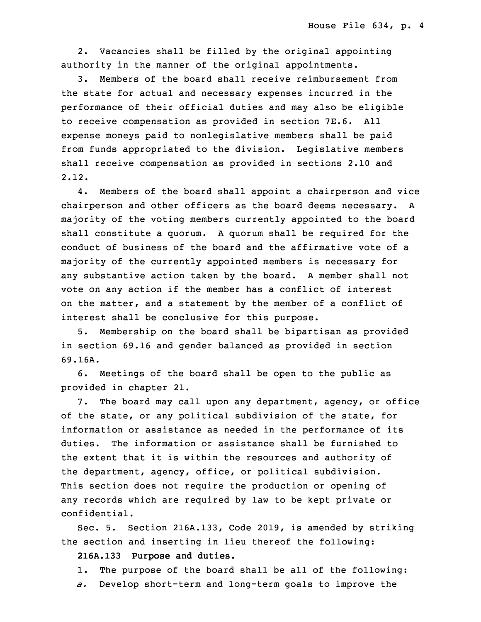2. Vacancies shall be filled by the original appointing authority in the manner of the original appointments.

25 3. Members of the board shall receive reimbursement from the state for actual and necessary expenses incurred in the performance of their official duties and may also be eligible to receive compensation as provided in section 7E.6. All expense moneys paid to nonlegislative members shall be paid from funds appropriated to the division. Legislative members shall receive compensation as provided in sections 2.10 and 32 2.12.

4. Members of the board shall appoint a chairperson and vice chairperson and other officers as the board deems necessary. A majority of the voting members currently appointed to the board shall constitute <sup>a</sup> quorum. <sup>A</sup> quorum shall be required for the conduct of business of the board and the affirmative vote of <sup>a</sup> majority of the currently appointed members is necessary for any substantive action taken by the board. <sup>A</sup> member shall not vote on any action if the member has a conflict of interest on the matter, and a statement by the member of a conflict of interest shall be conclusive for this purpose.

5. Membership on the board shall be bipartisan as provided in section 69.16 and gender balanced as provided in section 10 69.16A.

 6. Meetings of the board shall be open to the public as provided in chapter 21.

7. The board may call upon any department, agency, or office of the state, or any political subdivision of the state, for information or assistance as needed in the performance of its duties. The information or assistance shall be furnished to the extent that it is within the resources and authority of the department, agency, office, or political subdivision. This section does not require the production or opening of any records which are required by law to be kept private or confidential.

 Sec. 5. Section 216A.133, Code 2019, is amended by striking the section and inserting in lieu thereof the following:

- **216A.133 Purpose and duties.**
- 1. The purpose of the board shall be all of the following:
- 26 *a.* Develop short-term and long-term goals to improve the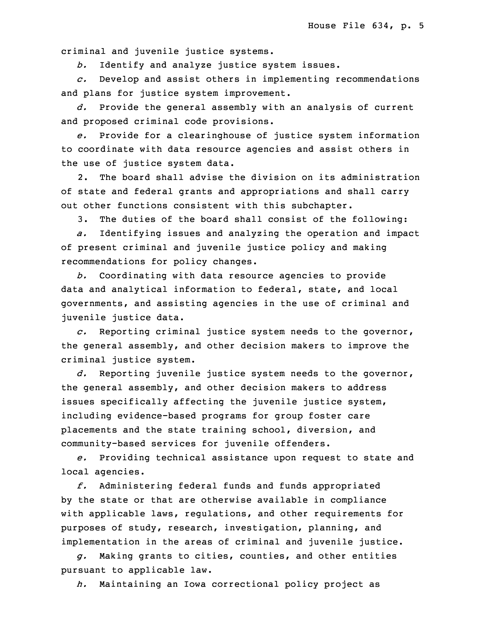criminal and juvenile justice systems.

b. Identify and analyze justice system issues.

29 *c.* Develop and assist others in implementing recommendations and plans for justice system improvement.

31 *d.* Provide the general assembly with an analysis of current and proposed criminal code provisions.

33 *e.* Provide for <sup>a</sup> clearinghouse of justice system information to coordinate with data resource agencies and assist others in the use of justice system data.

 2. The board shall advise the division on its administration of state and federal grants and appropriations and shall carry out other functions consistent with this subchapter.

3. The duties of the board shall consist of the following:

a. Identifying issues and analyzing the operation and impact of present criminal and juvenile justice policy and making 7 recommendations for policy changes.

8 *b.* Coordinating with data resource agencies to provide data and analytical information to federal, state, and local governments, and assisting agencies in the use of criminal and juvenile justice data.

 *c.* Reporting criminal justice system needs to the governor, the general assembly, and other decision makers to improve the criminal justice system.

d. Reporting juvenile justice system needs to the governor, the general assembly, and other decision makers to address issues specifically affecting the juvenile justice system, including evidence-based programs for group foster care placements and the state training school, diversion, and community-based services for juvenile offenders.

 *e.* Providing technical assistance upon request to state and local agencies.

23 *f.* Administering federal funds and funds appropriated by the state or that are otherwise available in compliance with applicable laws, regulations, and other requirements for purposes of study, research, investigation, planning, and implementation in the areas of criminal and juvenile justice.

28 *g.* Making grants to cities, counties, and other entities pursuant to applicable law.

30 *h.* Maintaining an Iowa correctional policy project as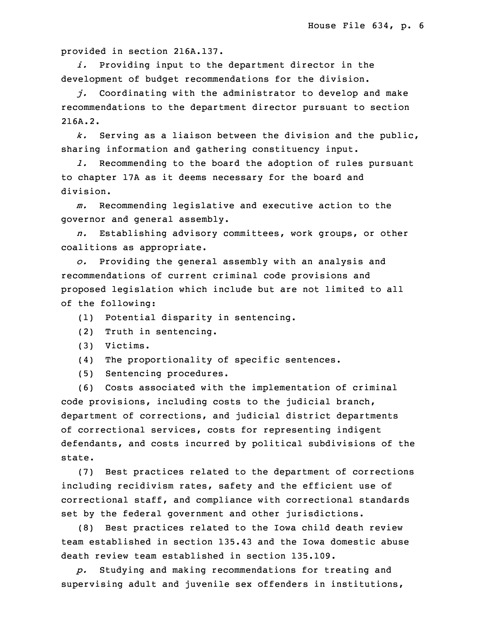provided in section 216A.137.

i. Providing input to the department director in the development of budget recommendations for the division.

Coordinating with the administrator to develop and make recommendations to the department director pursuant to section 216A.2.

 *k.* Serving as <sup>a</sup> liaison between the division and the public, sharing information and gathering constituency input.

 *l.* Recommending to the board the adoption of rules pursuant 5 to chapter 17A as it deems necessary for the board and division.

 $m$ . Recommending legislative and executive action to the governor and general assembly.

9 *n.* Establishing advisory committees, work groups, or other coalitions as appropriate.

 *o.* Providing the general assembly with an analysis and recommendations of current criminal code provisions and proposed legislation which include but are not limited to all of the following:

(1) Potential disparity in sentencing.

16 (2) Truth in sentencing.

(3) Victims.

- (4) The proportionality of specific sentences.
- 19 (5) Sentencing procedures.

(6) Costs associated with the implementation of criminal code provisions, including costs to the judicial branch, department of corrections, and judicial district departments of correctional services, costs for representing indigent defendants, and costs incurred by political subdivisions of the state.

(7) Best practices related to the department of corrections including recidivism rates, safety and the efficient use of correctional staff, and compliance with correctional standards set by the federal government and other jurisdictions.

(8) Best practices related to the Iowa child death review team established in section 135.43 and the Iowa domestic abuse death review team established in section 135.109.

33 *p.* Studying and making recommendations for treating and supervising adult and juvenile sex offenders in institutions,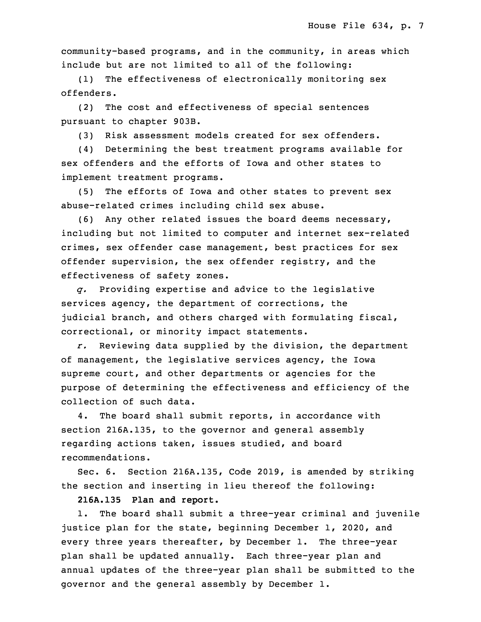community-based programs, and in the community, in areas which include but are not limited to all of the following:

 (1) The effectiveness of electronically monitoring sex 3 offenders.

 (2) The cost and effectiveness of special sentences pursuant to chapter 903B.

6 (3) Risk assessment models created for sex offenders.

(4) Determining the best treatment programs available for sex offenders and the efforts of Iowa and other states to implement treatment programs.

(5) The efforts of Iowa and other states to prevent sex abuse-related crimes including child sex abuse.

 (6) Any other related issues the board deems necessary, including but not limited to computer and internet sex-related crimes, sex offender case management, best practices for sex offender supervision, the sex offender registry, and the effectiveness of safety zones.

17 *q.* Providing expertise and advice to the legislative services agency, the department of corrections, the judicial branch, and others charged with formulating fiscal, correctional, or minority impact statements.

 *r.* Reviewing data supplied by the division, the department of management, the legislative services agency, the Iowa supreme court, and other departments or agencies for the purpose of determining the effectiveness and efficiency of the collection of such data.

4. The board shall submit reports, in accordance with section 216A.135, to the governor and general assembly regarding actions taken, issues studied, and board recommendations.

Sec. 6. Section 216A.135, Code 2019, is amended by striking the section and inserting in lieu thereof the following:

32 **216A.135 Plan and report.**

1. The board shall submit a three-year criminal and juvenile justice plan for the state, beginning December 1, 2020, and every three years thereafter, by December 1. The three-year plan shall be updated annually. Each three-year plan and annual updates of the three-year plan shall be submitted to the governor and the general assembly by December 1.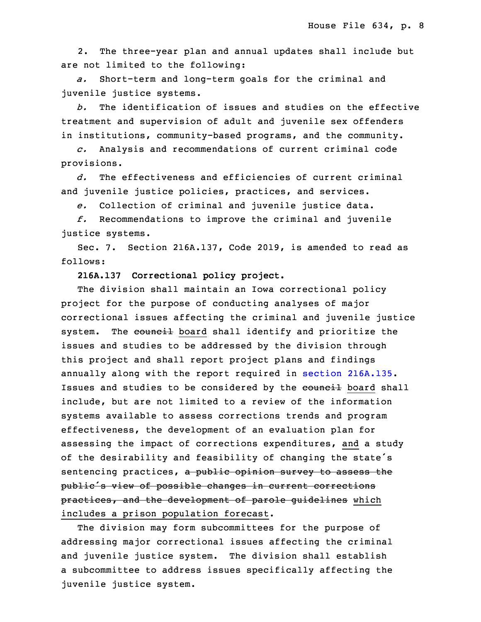2. The three-year plan and annual updates shall include but are not limited to the following:

6 *a.* Short-term and long-term goals for the criminal and juvenile justice systems.

8 *b.* The identification of issues and studies on the effective treatment and supervision of adult and juvenile sex offenders in institutions, community-based programs, and the community.

 *c.* Analysis and recommendations of current criminal code provisions.

13 *d.* The effectiveness and efficiencies of current criminal and juvenile justice policies, practices, and services.

15 *e.* Collection of criminal and juvenile justice data.

16 *f.* Recommendations to improve the criminal and juvenile justice systems.

Sec. 7. Section 216A.137, Code 2019, is amended to read as follows:

20 **216A.137 Correctional policy project.**

 The division shall maintain an Iowa correctional policy project for the purpose of conducting analyses of major correctional issues affecting the criminal and juvenile justice system. The council board shall identify and prioritize the issues and studies to be addressed by the division through this project and shall report project plans and findings annually along with the report required in section [216A.135](https://www.legis.iowa.gov/docs/code/2019/216A.135.pdf). Issues and studies to be considered by the council board shall include, but are not limited to a review of the information systems available to assess corrections trends and program effectiveness, the development of an evaluation plan for assessing the impact of corrections expenditures, and a study of the desirability and feasibility of changing the state's sentencing practices, a public opinion survey to assess the public's view of possible changes in current corrections practices, and the development of parole guidelines which includes <sup>a</sup> prison population forecast.

The division may form subcommittees for the purpose of addressing major correctional issues affecting the criminal and juvenile justice system. The division shall establish a subcommittee to address issues specifically affecting the juvenile justice system.